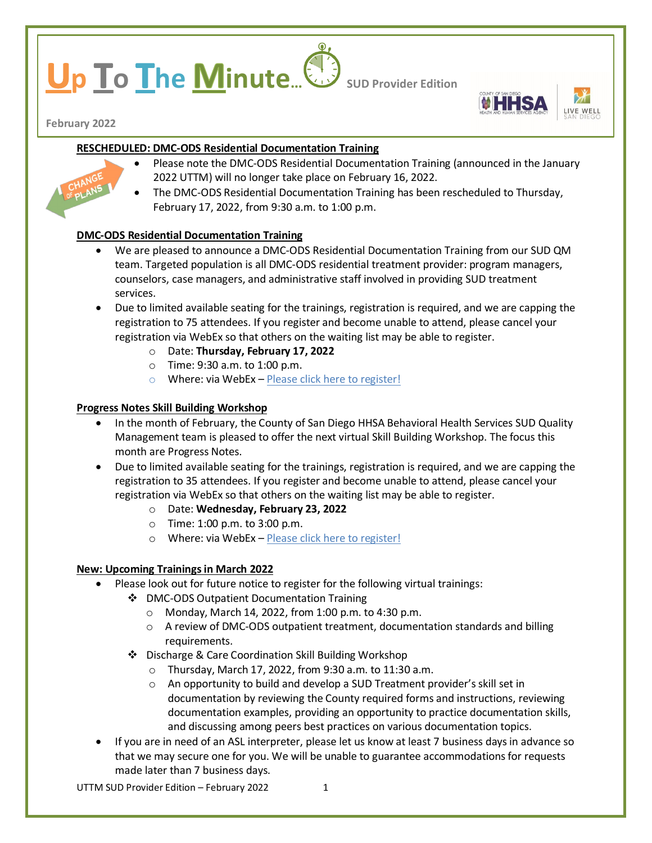# **p lo I**he **Minute**... **Sup Provider Edition**



**February 2022**

# **RESCHEDULED: DMC-ODS Residential Documentation Training**

- Please note the DMC-ODS Residential Documentation Training (announced in the January 2022 UTTM) will no longer take place on February 16, 2022.
- The DMC-ODS Residential Documentation Training has been rescheduled to Thursday, February 17, 2022, from 9:30 a.m. to 1:00 p.m.

## **DMC-ODS Residential Documentation Training**

- We are pleased to announce a DMC-ODS Residential Documentation Training from our SUD QM team. Targeted population is all DMC-ODS residential treatment provider: program managers, counselors, case managers, and administrative staff involved in providing SUD treatment services.
- Due to limited available seating for the trainings, registration is required, and we are capping the registration to 75 attendees. If you register and become unable to attend, please cancel your registration via WebEx so that others on the waiting list may be able to register.
	- o Date: **Thursday, February 17, 2022**
	- o Time: 9:30 a.m. to 1:00 p.m.
	- o Where: via WebEx [Please click here to register!](https://sdcountyca.webex.com/mw3300/mywebex/default.do?service=7&nomenu=true&main_url=%2Ftc3300%2Ftrainingcenter%2FLoading.do%3Fsiteurl%3Dsdcountyca%26UID%3D-99999999%26RT%3DMiM0%26siteurl%3Dsdcountyca%26apiname%3Dj.php%26MTID%3Dt16c76bb70d50fe226abaee97d506a30f%26FM%3D1%26rnd%3D1774756253%26servicename%3DTC%26ED%3D1535292067%26needFilter%3Dfalse&siteurl=sdcountyca)

## **Progress Notes Skill Building Workshop**

- In the month of February, the County of San Diego HHSA Behavioral Health Services SUD Quality Management team is pleased to offer the next virtual Skill Building Workshop. The focus this month are Progress Notes.
- Due to limited available seating for the trainings, registration is required, and we are capping the registration to 35 attendees. If you register and become unable to attend, please cancel your registration via WebEx so that others on the waiting list may be able to register.
	- o Date: **Wednesday, February 23, 2022**
	- o Time: 1:00 p.m. to 3:00 p.m.
	- o Where: via WebEx [Please click here to register!](https://sdcountyca.webex.com/mw3300/mywebex/default.do?service=7&nomenu=true&main_url=%2Ftc3300%2Ftrainingcenter%2FLoading.do%3Fsiteurl%3Dsdcountyca%26UID%3D-99999999%26RT%3DMiM0%26siteurl%3Dsdcountyca%26apiname%3Dj.php%26MTID%3Dtdee68c5ebae8dd6641dd87b19cf43654%26FM%3D1%26rnd%3D9963595775%26servicename%3DTC%26ED%3D1535287687%26needFilter%3Dfalse&siteurl=sdcountyca)

## **New: Upcoming Trainings in March 2022**

- Please look out for future notice to register for the following virtual trainings:
	- ❖ DMC-ODS Outpatient Documentation Training
		- o Monday, March 14, 2022, from 1:00 p.m. to 4:30 p.m.
		- o A review of DMC-ODS outpatient treatment, documentation standards and billing requirements.
	- Discharge & Care Coordination Skill Building Workshop
		- o Thursday, March 17, 2022, from 9:30 a.m. to 11:30 a.m.
		- o An opportunity to build and develop a SUD Treatment provider's skill set in documentation by reviewing the County required forms and instructions, reviewing documentation examples, providing an opportunity to practice documentation skills, and discussing among peers best practices on various documentation topics.
- If you are in need of an ASL interpreter, please let us know at least 7 business days in advance so that we may secure one for you. We will be unable to guarantee accommodations for requests made later than 7 business days.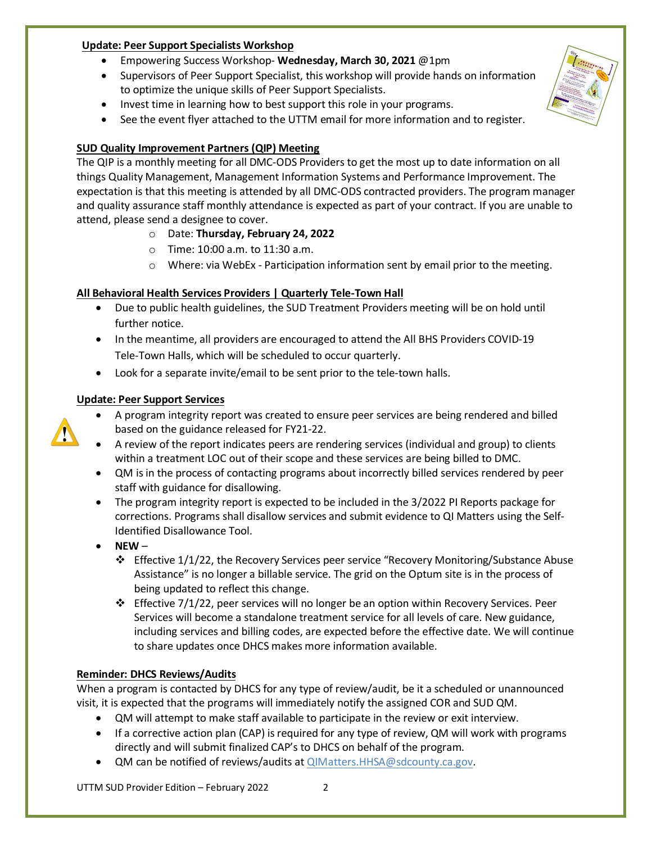### **Update: Peer Support Specialists Workshop**

- Empowering Success Workshop- **Wednesday, March 30, 2021** @1pm
- Supervisors of Peer Support Specialist, this workshop will provide hands on information to optimize the unique skills of Peer Support Specialists.
- Invest time in learning how to best support this role in your programs.
- See the event flyer attached to the UTTM email for more information and to register.

# **SUD Quality Improvement Partners (QIP) Meeting**

The QIP is a monthly meeting for all DMC-ODS Providers to get the most up to date information on all things Quality Management, Management Information Systems and Performance Improvement. The expectation is that this meeting is attended by all DMC-ODS contracted providers. The program manager and quality assurance staff monthly attendance is expected as part of your contract. If you are unable to attend, please send a designee to cover.

- o Date: **Thursday, February 24, 2022**
- o Time: 10:00 a.m. to 11:30 a.m.
- $\circ$  Where: via WebEx Participation information sent by email prior to the meeting.

# **All Behavioral Health Services Providers | Quarterly Tele-Town Hall**

- Due to public health guidelines, the SUD Treatment Providers meeting will be on hold until further notice.
- In the meantime, all providers are encouraged to attend the All BHS Providers COVID-19 Tele-Town Halls, which will be scheduled to occur quarterly.
- Look for a separate invite/email to be sent prior to the tele-town halls.

# **Update: Peer Support Services**



- A program integrity report was created to ensure peer services are being rendered and billed based on the guidance released for FY21-22.
- A review of the report indicates peers are rendering services (individual and group) to clients within a treatment LOC out of their scope and these services are being billed to DMC.
- QM is in the process of contacting programs about incorrectly billed services rendered by peer staff with guidance for disallowing.
- The program integrity report is expected to be included in the 3/2022 PI Reports package for corrections. Programs shall disallow services and submit evidence to QI Matters using the Self-Identified Disallowance Tool.
- **NEW**
	- Effective 1/1/22, the Recovery Services peer service "Recovery Monitoring/Substance Abuse Assistance" is no longer a billable service. The grid on the Optum site is in the process of being updated to reflect this change.
	- $\div$  Effective 7/1/22, peer services will no longer be an option within Recovery Services. Peer Services will become a standalone treatment service for all levels of care. New guidance, including services and billing codes, are expected before the effective date. We will continue to share updates once DHCS makes more information available.

## **Reminder: DHCS Reviews/Audits**

When a program is contacted by DHCS for any type of review/audit, be it a scheduled or unannounced visit, it is expected that the programs will immediately notify the assigned COR and SUD QM.

- QM will attempt to make staff available to participate in the review or exit interview.
- If a corrective action plan (CAP) is required for any type of review, QM will work with programs directly and will submit finalized CAP's to DHCS on behalf of the program.
- QM can be notified of reviews/audits at [QIMatters.HHSA@sdcounty.ca.gov.](mailto:QIMatters.HHSA@sdcounty.ca.gov)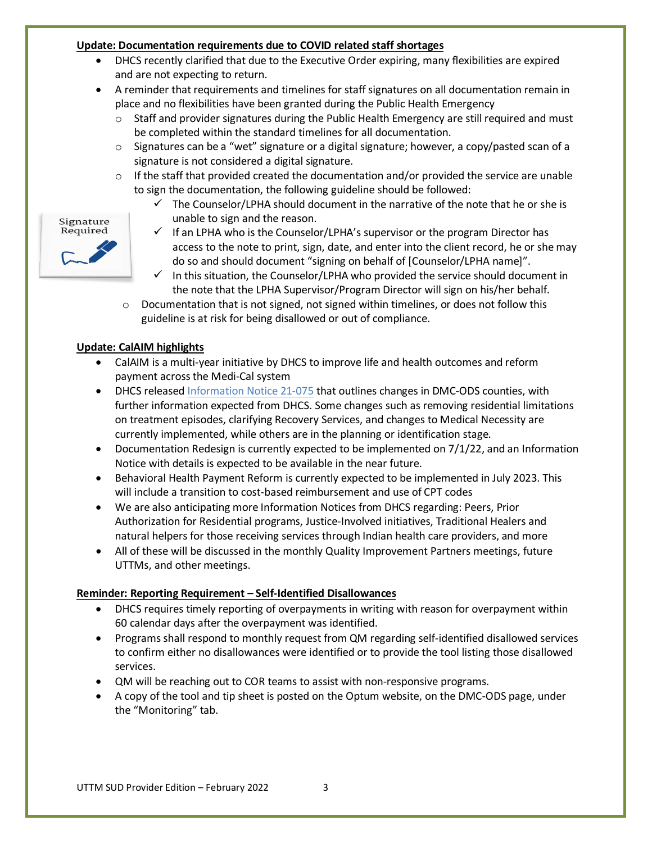#### **Update: Documentation requirements due to COVID related staff shortages**

- DHCS recently clarified that due to the Executive Order expiring, many flexibilities are expired and are not expecting to return.
- A reminder that requirements and timelines for staff signatures on all documentation remain in place and no flexibilities have been granted during the Public Health Emergency
	- $\circ$  Staff and provider signatures during the Public Health Emergency are still required and must be completed within the standard timelines for all documentation.
	- $\circ$  Signatures can be a "wet" signature or a digital signature; however, a copy/pasted scan of a signature is not considered a digital signature.
	- o If the staff that provided created the documentation and/or provided the service are unable to sign the documentation, the following guideline should be followed:
		- $\checkmark$  The Counselor/LPHA should document in the narrative of the note that he or she is unable to sign and the reason.
		- $\checkmark$  If an LPHA who is the Counselor/LPHA's supervisor or the program Director has access to the note to print, sign, date, and enter into the client record, he or she may do so and should document "signing on behalf of [Counselor/LPHA name]".
		- $\checkmark$  In this situation, the Counselor/LPHA who provided the service should document in the note that the LPHA Supervisor/Program Director will sign on his/her behalf.
		- o Documentation that is not signed, not signed within timelines, or does not follow this guideline is at risk for being disallowed or out of compliance.

# **Update: CalAIM highlights**

- CalAIM is a multi-year initiative by DHCS to improve life and health outcomes and reform payment across the Medi-Cal system
- DHCS release[d Information Notice 21-075](https://www.dhcs.ca.gov/Documents/BHIN-21-075-DMC-ODS-Requirements-for-the-Period-2022-2026.pdf) that outlines changes in DMC-ODS counties, with further information expected from DHCS. Some changes such as removing residential limitations on treatment episodes, clarifying Recovery Services, and changes to Medical Necessity are currently implemented, while others are in the planning or identification stage.
- Documentation Redesign is currently expected to be implemented on 7/1/22, and an Information Notice with details is expected to be available in the near future.
- Behavioral Health Payment Reform is currently expected to be implemented in July 2023. This will include a transition to cost-based reimbursement and use of CPT codes
- We are also anticipating more Information Notices from DHCS regarding: Peers, Prior Authorization for Residential programs, Justice-Involved initiatives, Traditional Healers and natural helpers for those receiving services through Indian health care providers, and more
- All of these will be discussed in the monthly Quality Improvement Partners meetings, future UTTMs, and other meetings.

## **Reminder: Reporting Requirement – Self-Identified Disallowances**

- DHCS requires timely reporting of overpayments in writing with reason for overpayment within 60 calendar days after the overpayment was identified.
- Programs shall respond to monthly request from QM regarding self-identified disallowed services to confirm either no disallowances were identified or to provide the tool listing those disallowed services.
- QM will be reaching out to COR teams to assist with non-responsive programs.
- A copy of the tool and tip sheet is posted on the Optum website, on the DMC-ODS page, under the "Monitoring" tab.

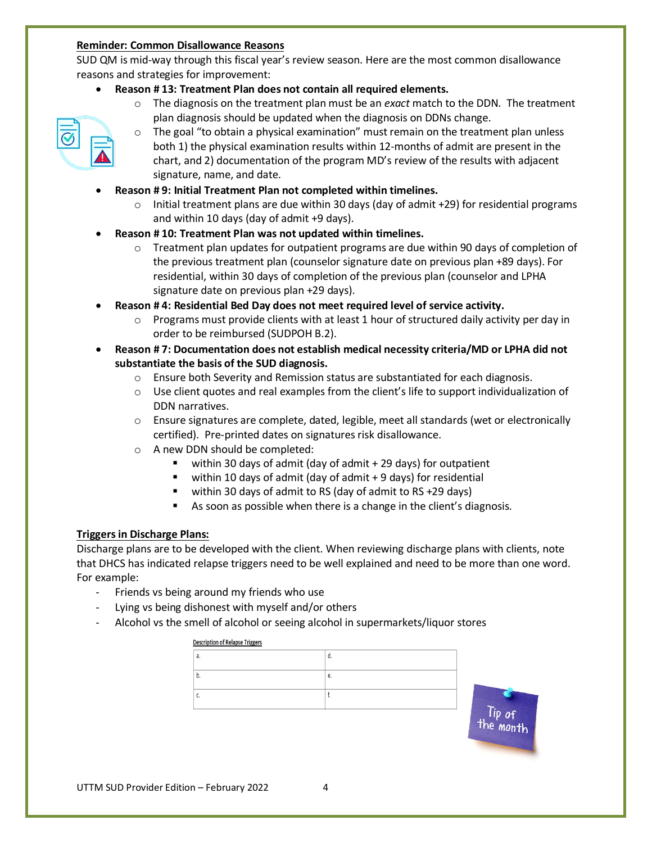#### **Reminder: Common Disallowance Reasons**

SUD QM is mid-way through this fiscal year's review season. Here are the most common disallowance reasons and strategies for improvement:

- **Reason # 13: Treatment Plan does not contain all required elements.** 
	- o The diagnosis on the treatment plan must be an *exact* match to the DDN. The treatment plan diagnosis should be updated when the diagnosis on DDNs change.
	- $\circ$  The goal "to obtain a physical examination" must remain on the treatment plan unless both 1) the physical examination results within 12-months of admit are present in the chart, and 2) documentation of the program MD's review of the results with adjacent signature, name, and date.
- **Reason # 9: Initial Treatment Plan not completed within timelines.**
	- $\circ$  Initial treatment plans are due within 30 days (day of admit +29) for residential programs and within 10 days (day of admit +9 days).
- **Reason # 10: Treatment Plan was not updated within timelines.** 
	- $\circ$  Treatment plan updates for outpatient programs are due within 90 days of completion of the previous treatment plan (counselor signature date on previous plan +89 days). For residential, within 30 days of completion of the previous plan (counselor and LPHA signature date on previous plan +29 days).
- **Reason # 4: Residential Bed Day does not meet required level of service activity.**
	- $\circ$  Programs must provide clients with at least 1 hour of structured daily activity per day in order to be reimbursed (SUDPOH B.2).
- **Reason # 7: Documentation does not establish medical necessity criteria/MD or LPHA did not substantiate the basis of the SUD diagnosis.** 
	- $\circ$  Ensure both Severity and Remission status are substantiated for each diagnosis.
	- $\circ$  Use client quotes and real examples from the client's life to support individualization of DDN narratives.
	- o Ensure signatures are complete, dated, legible, meet all standards (wet or electronically certified). Pre-printed dates on signatures risk disallowance.
	- o A new DDN should be completed:
		- $\blacksquare$  within 30 days of admit (day of admit  $+$  29 days) for outpatient
		- $\blacksquare$  within 10 days of admit (day of admit + 9 days) for residential
		- within 30 days of admit to RS (day of admit to RS +29 days)
		- As soon as possible when there is a change in the client's diagnosis.

#### **Triggers in Discharge Plans:**

Discharge plans are to be developed with the client. When reviewing discharge plans with clients, note that DHCS has indicated relapse triggers need to be well explained and need to be more than one word. For example:

- Friends vs being around my friends who use
- Lying vs being dishonest with myself and/or others
- Alcohol vs the smell of alcohol or seeing alcohol in supermarkets/liquor stores

#### **Description of Relapse Triggers**

|  | е. |
|--|----|
|  |    |
|  |    |



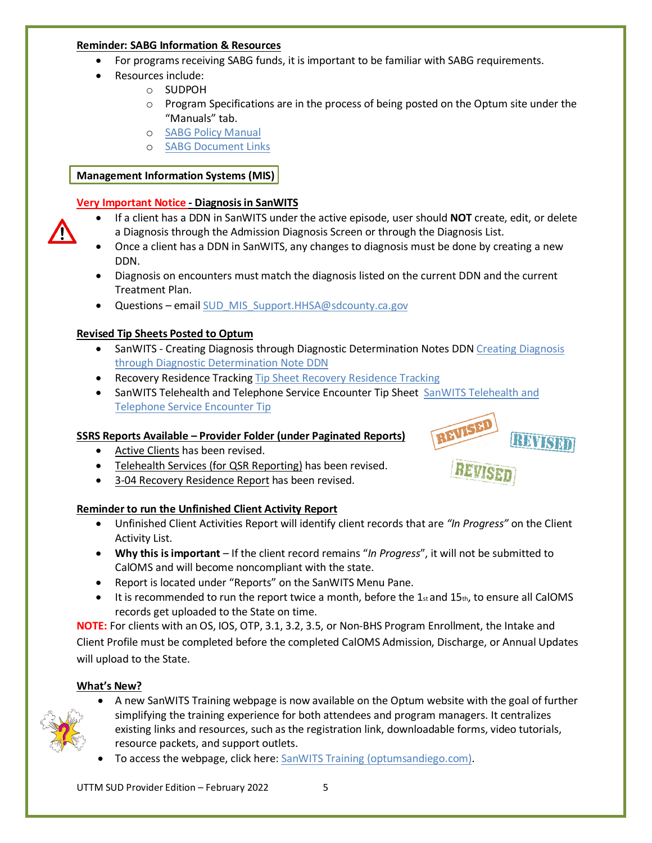#### **Reminder: SABG Information & Resources**

- For programs receiving SABG funds, it is important to be familiar with SABG requirements.
- Resources include:
	- o SUDPOH
	- $\circ$  Program Specifications are in the process of being posted on the Optum site under the "Manuals" tab.
	- o [SABG Policy Manual](https://www.dhcs.ca.gov/Documents/CSD_YV/SABG/SABG-Policy-Manual-V2-3-25-21.pdf)
	- o [SABG Document Links](https://www.dhcs.ca.gov/provgovpart/Pages/SAPT-Block-Grant-Contracts.aspx)

# **Management Information Systems (MIS)**

# **Very Important Notice - Diagnosis in SanWITS**

- If a client has a DDN in SanWITS under the active episode, user should **NOT** create, edit, or delete a Diagnosis through the Admission Diagnosis Screen or through the Diagnosis List.
- Once a client has a DDN in SanWITS, any changes to diagnosis must be done by creating a new DDN.
- Diagnosis on encounters must match the diagnosis listed on the current DDN and the current Treatment Plan.
- Questions emai[l SUD\\_MIS\\_Support.HHSA@sdcounty.ca.gov](mailto:SUD_MIS_Support.HHSA@sdcounty.ca.gov)

# **Revised Tip Sheets Posted to Optum**

- SanWITS Creating Diagnosis through Diagnostic Determination Notes DDN Creating Diagnosis [through Diagnostic Determination Note DDN](https://www.optumsandiego.com/content/dam/san-diego/documents/dmc-ods/sanwits/SanWITS_%20-_%20Creating_Diagnosis_through_Diagnostic_Determination_Notes_DDN_rev2022.01.20.pdf)
- Recovery Residence Tracking Tip Sheet [Recovery Residence Tracking](https://www.optumsandiego.com/content/dam/san-diego/documents/dmc-ods/sanwits/Tip_Sheet_-_Recovery_Residence_Tracking_in_SanWITS%20_2022.01.27.pdf)
- SanWITS Telehealth and Telephone Service Encounter Tip Sheet [SanWITS Telehealth and](https://www.optumsandiego.com/content/dam/san-diego/documents/dmc-ods/sanwits/SanWITS_-_Telehealth_and_Telephone_Service_Encounter_Tip%20Sheet%20_rev%2012.16.21.pdf)  [Telephone Service Encounter Tip](https://www.optumsandiego.com/content/dam/san-diego/documents/dmc-ods/sanwits/SanWITS_-_Telehealth_and_Telephone_Service_Encounter_Tip%20Sheet%20_rev%2012.16.21.pdf)

# **SSRS Reports Available – Provider Folder (under Paginated Reports)**

- Active Clients has been revised.
- Telehealth Services (for QSR Reporting) has been revised.
- 3-04 Recovery Residence Report has been revised.

# **Reminder to run the Unfinished Client Activity Report**

- Unfinished Client Activities Report will identify client records that are *"In Progress"* on the Client Activity List.
- **Why this is important**  If the client record remains "*In Progress*", it will not be submitted to CalOMS and will become noncompliant with the state.
- Report is located under "Reports" on the SanWITS Menu Pane.
- $\bullet$  It is recommended to run the report twice a month, before the 1 $_{st}$  and 15 $_{th}$ , to ensure all CalOMS records get uploaded to the State on time.

**NOTE:** For clients with an OS, IOS, OTP, 3.1, 3.2, 3.5, or Non-BHS Program Enrollment, the Intake and Client Profile must be completed before the completed CalOMS Admission, Discharge, or Annual Updates will upload to the State.

## **What's New?**



- A new SanWITS Training webpage is now available on the Optum website with the goal of further simplifying the training experience for both attendees and program managers. It centralizes existing links and resources, such as the registration link, downloadable forms, video tutorials, resource packets, and support outlets.
- To access the webpage, click here: [SanWITS Training \(optumsandiego.com\).](https://www.optumsandiego.com/content/SanDiego/sandiego/en/county-staff---providers/training1.html)

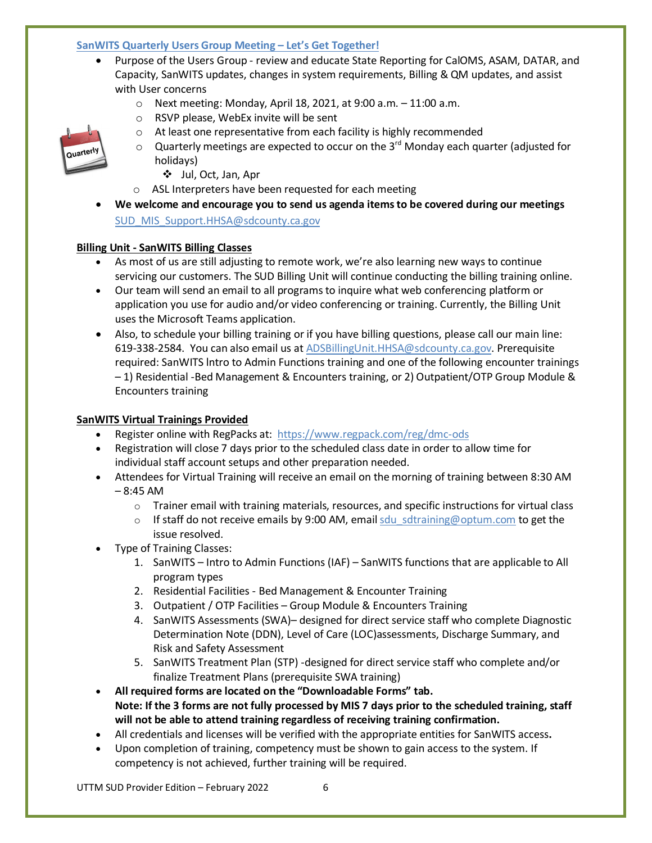#### **SanWITS Quarterly Users Group Meeting – Let's Get Together!**

- Purpose of the Users Group review and educate State Reporting for CalOMS, ASAM, DATAR, and Capacity, SanWITS updates, changes in system requirements, Billing & QM updates, and assist with User concerns
	- $\circ$  Next meeting: Monday, April 18, 2021, at 9:00 a.m.  $-11:00$  a.m.
	- o RSVP please, WebEx invite will be sent
	- o At least one representative from each facility is highly recommended



- $\circ$  Quarterly meetings are expected to occur on the 3<sup>rd</sup> Monday each quarter (adjusted for holidays)
	- Jul, Oct, Jan, Apr
- o ASL Interpreters have been requested for each meeting
- **We welcome and encourage you to send us agenda items to be covered during our meetings** [SUD\\_MIS\\_Support.HHSA@sdcounty.ca.gov](mailto:SUD_MIS_Support.HHSA@sdcounty.ca.gov)

#### **Billing Unit - SanWITS Billing Classes**

- As most of us are still adjusting to remote work, we're also learning new ways to continue servicing our customers. The SUD Billing Unit will continue conducting the billing training online.
- Our team will send an email to all programs to inquire what web conferencing platform or application you use for audio and/or video conferencing or training. Currently, the Billing Unit uses the Microsoft Teams application.
- Also, to schedule your billing training or if you have billing questions, please call our main line: 619-338-2584. You can also email us a[t ADSBillingUnit.HHSA@sdcounty.ca.gov.](mailto:ADSBillingUnit.HHSA@sdcounty.ca.gov) Prerequisite required: SanWITS lntro to Admin Functions training and one of the following encounter trainings – 1) Residential -Bed Management & Encounters training, or 2) Outpatient/OTP Group Module & Encounters training

#### **SanWITS Virtual Trainings Provided**

- Register online with RegPacks at: <https://www.regpack.com/reg/dmc-ods>
- Registration will close 7 days prior to the scheduled class date in order to allow time for individual staff account setups and other preparation needed.
- Attendees for Virtual Training will receive an email on the morning of training between 8:30 AM  $-8:45$  AM
	- $\circ$  Trainer email with training materials, resources, and specific instructions for virtual class
	- $\circ$  If staff do not receive emails by 9:00 AM, email sdu sdtraining@optum.com to get the issue resolved.
- Type of Training Classes:
	- 1. SanWITS Intro to Admin Functions (IAF) SanWITS functions that are applicable to All program types
	- 2. Residential Facilities Bed Management & Encounter Training
	- 3. Outpatient / OTP Facilities Group Module & Encounters Training
	- 4. SanWITS Assessments (SWA)– designed for direct service staff who complete Diagnostic Determination Note (DDN), Level of Care (LOC)assessments, Discharge Summary, and Risk and Safety Assessment
	- 5. SanWITS Treatment Plan (STP) -designed for direct service staff who complete and/or finalize Treatment Plans (prerequisite SWA training)
- **All required forms are located on the "Downloadable Forms" tab. Note: If the 3 forms are not fully processed by MIS 7 days prior to the scheduled training, staff will not be able to attend training regardless of receiving training confirmation.**
- All credentials and licenses will be verified with the appropriate entities for SanWITS access**.**
- Upon completion of training, competency must be shown to gain access to the system. If competency is not achieved, further training will be required.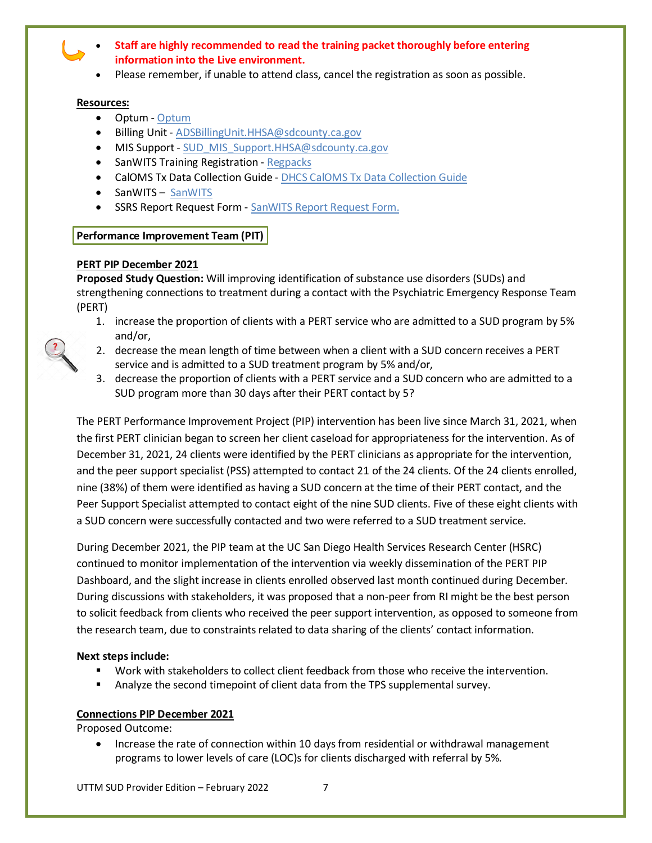- **Staff are highly recommended to read the training packet thoroughly before entering information into the Live environment.**
- Please remember, if unable to attend class, cancel the registration as soon as possible.

#### **Resources:**

- Optum [Optum](http://optumsandiego.com/)
- Billing Unit [ADSBillingUnit.HHSA@sdcounty.ca.gov](mailto:ADSBillingUnit.HHSA@sdcounty.ca.gov)
- MIS Support [SUD\\_MIS\\_Support.HHSA@sdcounty.ca.gov](mailto:SUD_MIS_Support.HHSA@sdcounty.ca.gov)
- SanWITS Training Registration [Regpacks](http://www.regpacks.com/dmc-ods)
- CalOMS Tx Data Collection Guide [DHCS CalOMS Tx Data Collection Guide](https://www.optumsandiego.com/content/dam/san-diego/documents/dmc-ods/sanwits/CalOMS_Tx_Data_Collection_Guide_Jan_2014.pdf)
- SanWITS [SanWITS](https://sandiego-sts.witsweb.org/Identity/login?signin=fb5f3f45bb9474ba14609fb06d49a03a)
- SSRS Report Request Form [SanWITS Report Request Form.](https://www.optumsandiego.com/content/dam/san-diego/documents/dmc-ods/sanwits/SanWITS_Report_Request_Form.pdf)

# **Performance Improvement Team (PIT)**

# **PERT PIP December 2021**

**Proposed Study Question:** Will improving identification of substance use disorders (SUDs) and strengthening connections to treatment during a contact with the Psychiatric Emergency Response Team (PERT)

- 1. increase the proportion of clients with a PERT service who are admitted to a SUD program by 5% and/or,
- 2. decrease the mean length of time between when a client with a SUD concern receives a PERT service and is admitted to a SUD treatment program by 5% and/or,
- 3. decrease the proportion of clients with a PERT service and a SUD concern who are admitted to a SUD program more than 30 days after their PERT contact by 5?

The PERT Performance Improvement Project (PIP) intervention has been live since March 31, 2021, when the first PERT clinician began to screen her client caseload for appropriateness for the intervention. As of December 31, 2021, 24 clients were identified by the PERT clinicians as appropriate for the intervention, and the peer support specialist (PSS) attempted to contact 21 of the 24 clients. Of the 24 clients enrolled, nine (38%) of them were identified as having a SUD concern at the time of their PERT contact, and the Peer Support Specialist attempted to contact eight of the nine SUD clients. Five of these eight clients with a SUD concern were successfully contacted and two were referred to a SUD treatment service.

During December 2021, the PIP team at the UC San Diego Health Services Research Center (HSRC) continued to monitor implementation of the intervention via weekly dissemination of the PERT PIP Dashboard, and the slight increase in clients enrolled observed last month continued during December. During discussions with stakeholders, it was proposed that a non-peer from RI might be the best person to solicit feedback from clients who received the peer support intervention, as opposed to someone from the research team, due to constraints related to data sharing of the clients' contact information.

## **Next steps include:**

- Work with stakeholders to collect client feedback from those who receive the intervention.
- Analyze the second timepoint of client data from the TPS supplemental survey.

## **Connections PIP December 2021**

Proposed Outcome:

• Increase the rate of connection within 10 days from residential or withdrawal management programs to lower levels of care (LOC)s for clients discharged with referral by 5%.